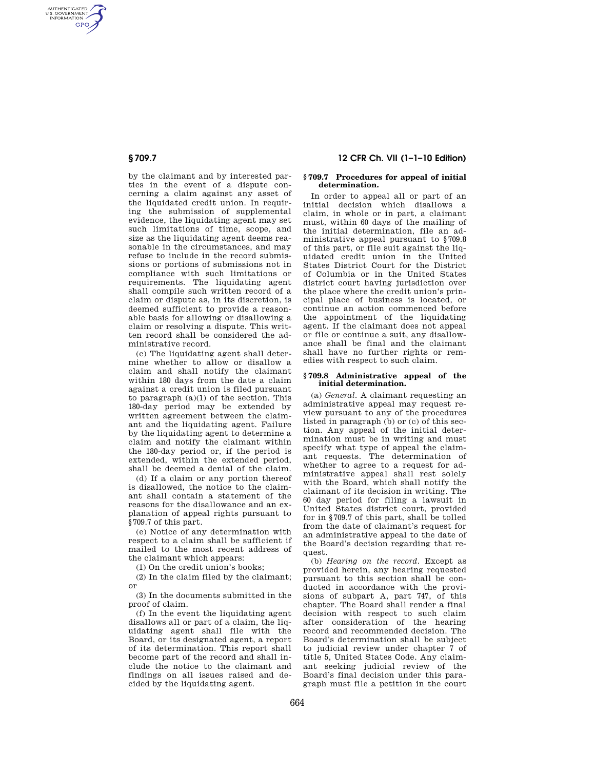AUTHENTICATED<br>U.S. GOVERNMENT<br>INFORMATION **GPO** 

> by the claimant and by interested parties in the event of a dispute concerning a claim against any asset of the liquidated credit union. In requiring the submission of supplemental evidence, the liquidating agent may set such limitations of time, scope, and size as the liquidating agent deems reasonable in the circumstances, and may refuse to include in the record submissions or portions of submissions not in compliance with such limitations or requirements. The liquidating agent shall compile such written record of a claim or dispute as, in its discretion, is deemed sufficient to provide a reasonable basis for allowing or disallowing a claim or resolving a dispute. This written record shall be considered the administrative record.

> (c) The liquidating agent shall determine whether to allow or disallow a claim and shall notify the claimant within 180 days from the date a claim against a credit union is filed pursuant to paragraph  $(a)(1)$  of the section. This 180-day period may be extended by written agreement between the claimant and the liquidating agent. Failure by the liquidating agent to determine a claim and notify the claimant within the 180-day period or, if the period is extended, within the extended period, shall be deemed a denial of the claim.

> (d) If a claim or any portion thereof is disallowed, the notice to the claimant shall contain a statement of the reasons for the disallowance and an explanation of appeal rights pursuant to §709.7 of this part.

> (e) Notice of any determination with respect to a claim shall be sufficient if mailed to the most recent address of the claimant which appears:

(1) On the credit union's books;

(2) In the claim filed by the claimant; or

(3) In the documents submitted in the proof of claim.

(f) In the event the liquidating agent disallows all or part of a claim, the liquidating agent shall file with the Board, or its designated agent, a report of its determination. This report shall become part of the record and shall include the notice to the claimant and findings on all issues raised and decided by the liquidating agent.

# **§ 709.7 12 CFR Ch. VII (1–1–10 Edition)**

### **§ 709.7 Procedures for appeal of initial determination.**

In order to appeal all or part of an initial decision which disallows a claim, in whole or in part, a claimant must, within 60 days of the mailing of the initial determination, file an administrative appeal pursuant to §709.8 of this part, or file suit against the liquidated credit union in the United States District Court for the District of Columbia or in the United States district court having jurisdiction over the place where the credit union's principal place of business is located, or continue an action commenced before the appointment of the liquidating agent. If the claimant does not appeal or file or continue a suit, any disallowance shall be final and the claimant shall have no further rights or remedies with respect to such claim.

## **§ 709.8 Administrative appeal of the initial determination.**

(a) *General.* A claimant requesting an administrative appeal may request review pursuant to any of the procedures listed in paragraph (b) or (c) of this section. Any appeal of the initial determination must be in writing and must specify what type of appeal the claimant requests. The determination of whether to agree to a request for administrative appeal shall rest solely with the Board, which shall notify the claimant of its decision in writing. The 60 day period for filing a lawsuit in United States district court, provided for in §709.7 of this part, shall be tolled from the date of claimant's request for an administrative appeal to the date of the Board's decision regarding that request.

(b) *Hearing on the record.* Except as provided herein, any hearing requested pursuant to this section shall be conducted in accordance with the provisions of subpart A, part 747, of this chapter. The Board shall render a final decision with respect to such claim after consideration of the hearing record and recommended decision. The Board's determination shall be subject to judicial review under chapter 7 of title 5, United States Code. Any claimant seeking judicial review of the Board's final decision under this paragraph must file a petition in the court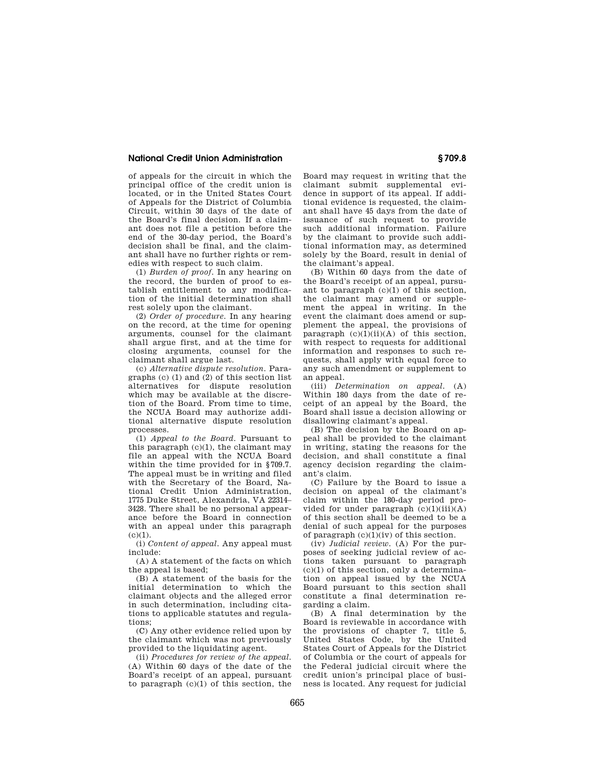# **National Credit Union Administration § 709.8**

of appeals for the circuit in which the principal office of the credit union is located, or in the United States Court of Appeals for the District of Columbia Circuit, within 30 days of the date of the Board's final decision. If a claimant does not file a petition before the end of the 30-day period, the Board's decision shall be final, and the claimant shall have no further rights or remedies with respect to such claim.

(1) *Burden of proof.* In any hearing on the record, the burden of proof to establish entitlement to any modification of the initial determination shall rest solely upon the claimant.

(2) *Order of procedure.* In any hearing on the record, at the time for opening arguments, counsel for the claimant shall argue first, and at the time for closing arguments, counsel for the claimant shall argue last.

(c) *Alternative dispute resolution.* Paragraphs  $(c)$  (1) and  $(2)$  of this section list alternatives for dispute resolution which may be available at the discretion of the Board. From time to time, the NCUA Board may authorize additional alternative dispute resolution processes.

(1) *Appeal to the Board.* Pursuant to this paragraph (c)(1), the claimant may file an appeal with the NCUA Board within the time provided for in §709.7. The appeal must be in writing and filed with the Secretary of the Board, National Credit Union Administration, 1775 Duke Street, Alexandria, VA 22314– 3428. There shall be no personal appearance before the Board in connection with an appeal under this paragraph  $(c)(1)$ .

(i) *Content of appeal.* Any appeal must include:

(A) A statement of the facts on which the appeal is based;

(B) A statement of the basis for the initial determination to which the claimant objects and the alleged error in such determination, including citations to applicable statutes and regulations;

(C) Any other evidence relied upon by the claimant which was not previously provided to the liquidating agent.

(ii) *Procedures for review of the appeal.*  (A) Within 60 days of the date of the Board's receipt of an appeal, pursuant to paragraph  $(c)(1)$  of this section, the Board may request in writing that the claimant submit supplemental evidence in support of its appeal. If additional evidence is requested, the claimant shall have 45 days from the date of issuance of such request to provide such additional information. Failure by the claimant to provide such additional information may, as determined solely by the Board, result in denial of the claimant's appeal.

(B) Within 60 days from the date of the Board's receipt of an appeal, pursuant to paragraph (c)(1) of this section, the claimant may amend or supplement the appeal in writing. In the event the claimant does amend or supplement the appeal, the provisions of paragraph  $(c)(1)(ii)(A)$  of this section, with respect to requests for additional information and responses to such requests, shall apply with equal force to any such amendment or supplement to an appeal.

(iii) *Determination on appeal.* (A) Within 180 days from the date of receipt of an appeal by the Board, the Board shall issue a decision allowing or disallowing claimant's appeal.

(B) The decision by the Board on appeal shall be provided to the claimant in writing, stating the reasons for the decision, and shall constitute a final agency decision regarding the claimant's claim.

(C) Failure by the Board to issue a decision on appeal of the claimant's claim within the 180-day period provided for under paragraph  $(c)(1)(iii)(A)$ of this section shall be deemed to be a denial of such appeal for the purposes of paragraph  $(c)(1)(iv)$  of this section.

(iv) *Judicial review.* (A) For the purposes of seeking judicial review of actions taken pursuant to paragraph  $(c)(1)$  of this section, only a determination on appeal issued by the NCUA Board pursuant to this section shall constitute a final determination regarding a claim.

(B) A final determination by the Board is reviewable in accordance with the provisions of chapter 7, title 5, United States Code, by the United States Court of Appeals for the District of Columbia or the court of appeals for the Federal judicial circuit where the credit union's principal place of business is located. Any request for judicial